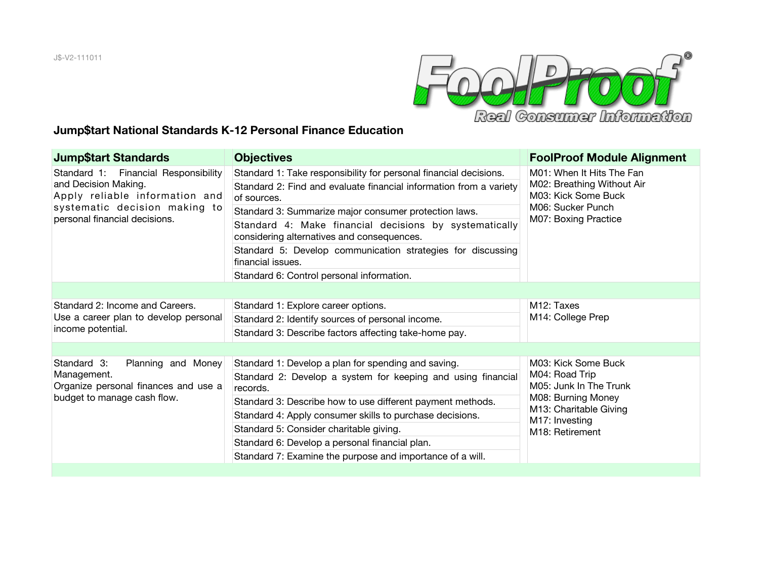

## **Jump\$tart National Standards K-12 Personal Finance Education**

| <b>Jump</b> \$tart Standards                                                                                                                                     | <b>Objectives</b>                                                                                    | <b>FoolProof Module Alignment</b>                                                                                                                                 |
|------------------------------------------------------------------------------------------------------------------------------------------------------------------|------------------------------------------------------------------------------------------------------|-------------------------------------------------------------------------------------------------------------------------------------------------------------------|
| Standard 1: Financial Responsibility<br>and Decision Making.<br>Apply reliable information and<br>systematic decision making to<br>personal financial decisions. | Standard 1: Take responsibility for personal financial decisions.                                    | M01: When It Hits The Fan<br>M02: Breathing Without Air<br>M03: Kick Some Buck<br>M06: Sucker Punch<br>M07: Boxing Practice                                       |
|                                                                                                                                                                  | Standard 2: Find and evaluate financial information from a variety<br>of sources.                    |                                                                                                                                                                   |
|                                                                                                                                                                  | Standard 3: Summarize major consumer protection laws.                                                |                                                                                                                                                                   |
|                                                                                                                                                                  | Standard 4: Make financial decisions by systematically<br>considering alternatives and consequences. |                                                                                                                                                                   |
|                                                                                                                                                                  | Standard 5: Develop communication strategies for discussing<br>financial issues.                     |                                                                                                                                                                   |
|                                                                                                                                                                  | Standard 6: Control personal information.                                                            |                                                                                                                                                                   |
|                                                                                                                                                                  |                                                                                                      |                                                                                                                                                                   |
| Standard 2: Income and Careers.<br>Use a career plan to develop personal<br>income potential.                                                                    | Standard 1: Explore career options.                                                                  | M <sub>12</sub> : Taxes<br>M14: College Prep                                                                                                                      |
|                                                                                                                                                                  | Standard 2: Identify sources of personal income.                                                     |                                                                                                                                                                   |
|                                                                                                                                                                  | Standard 3: Describe factors affecting take-home pay.                                                |                                                                                                                                                                   |
|                                                                                                                                                                  |                                                                                                      |                                                                                                                                                                   |
| Standard 3:<br>Planning and Money<br>Management.<br>Organize personal finances and use a<br>budget to manage cash flow.                                          | Standard 1: Develop a plan for spending and saving.                                                  | M03: Kick Some Buck<br>M04: Road Trip<br>M05: Junk In The Trunk<br>M08: Burning Money<br>M13: Charitable Giving<br>M17: Investing<br>M <sub>18</sub> : Retirement |
|                                                                                                                                                                  | Standard 2: Develop a system for keeping and using financial<br>records.                             |                                                                                                                                                                   |
|                                                                                                                                                                  | Standard 3: Describe how to use different payment methods.                                           |                                                                                                                                                                   |
|                                                                                                                                                                  | Standard 4: Apply consumer skills to purchase decisions.                                             |                                                                                                                                                                   |
|                                                                                                                                                                  | Standard 5: Consider charitable giving.                                                              |                                                                                                                                                                   |
|                                                                                                                                                                  | Standard 6: Develop a personal financial plan.                                                       |                                                                                                                                                                   |
|                                                                                                                                                                  | Standard 7: Examine the purpose and importance of a will.                                            |                                                                                                                                                                   |
|                                                                                                                                                                  |                                                                                                      |                                                                                                                                                                   |